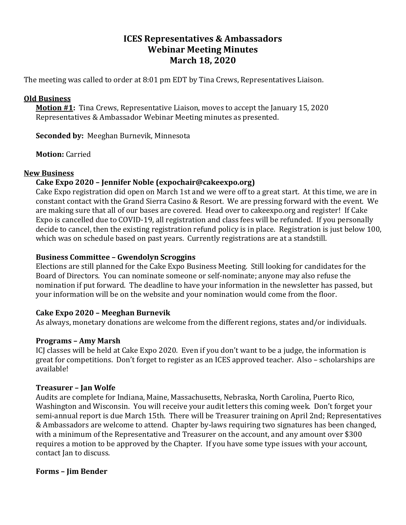# **ICES Representatives & Ambassadors Webinar Meeting Minutes March 18, 2020**

The meeting was called to order at 8:01 pm EDT by Tina Crews, Representatives Liaison.

#### **Old Business**

**Motion #1:** Tina Crews, Representative Liaison, moves to accept the January 15, 2020 Representatives & Ambassador Webinar Meeting minutes as presented.

**Seconded by:** Meeghan Burnevik, Minnesota

**Motion:** Carried

#### **New Business**

## **Cake Expo 2020 – Jennifer Noble (expochair@cakeexpo.org)**

Cake Expo registration did open on March 1st and we were off to a great start. At this time, we are in constant contact with the Grand Sierra Casino & Resort. We are pressing forward with the event. We are making sure that all of our bases are covered. Head over to cakeexpo.org and register! If Cake Expo is cancelled due to COVID-19, all registration and class fees will be refunded. If you personally decide to cancel, then the existing registration refund policy is in place. Registration is just below 100, which was on schedule based on past years. Currently registrations are at a standstill.

### **Business Committee – Gwendolyn Scroggins**

Elections are still planned for the Cake Expo Business Meeting. Still looking for candidates for the Board of Directors. You can nominate someone or self-nominate; anyone may also refuse the nomination if put forward. The deadline to have your information in the newsletter has passed, but your information will be on the website and your nomination would come from the floor.

### **Cake Expo 2020 – Meeghan Burnevik**

As always, monetary donations are welcome from the different regions, states and/or individuals.

### **Programs – Amy Marsh**

ICJ classes will be held at Cake Expo 2020. Even if you don't want to be a judge, the information is great for competitions. Don't forget to register as an ICES approved teacher. Also – scholarships are available!

### **Treasurer – Jan Wolfe**

Audits are complete for Indiana, Maine, Massachusetts, Nebraska, North Carolina, Puerto Rico, Washington and Wisconsin. You will receive your audit letters this coming week. Don't forget your semi-annual report is due March 15th. There will be Treasurer training on April 2nd; Representatives & Ambassadors are welcome to attend. Chapter by-laws requiring two signatures has been changed, with a minimum of the Representative and Treasurer on the account, and any amount over \$300 requires a motion to be approved by the Chapter. If you have some type issues with your account, contact Jan to discuss.

#### **Forms – Jim Bender**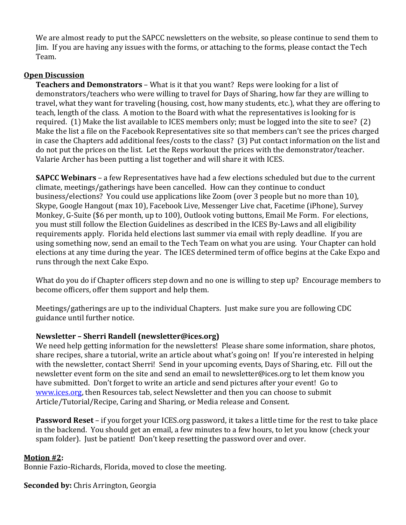We are almost ready to put the SAPCC newsletters on the website, so please continue to send them to Jim. If you are having any issues with the forms, or attaching to the forms, please contact the Tech Team.

#### **Open Discussion**

**Teachers and Demonstrators** – What is it that you want? Reps were looking for a list of demonstrators/teachers who were willing to travel for Days of Sharing, how far they are willing to travel, what they want for traveling (housing, cost, how many students, etc.), what they are offering to teach, length of the class. A motion to the Board with what the representatives is looking for is required. (1) Make the list available to ICES members only; must be logged into the site to see? (2) Make the list a file on the Facebook Representatives site so that members can't see the prices charged in case the Chapters add additional fees/costs to the class? (3) Put contact information on the list and do not put the prices on the list. Let the Reps workout the prices with the demonstrator/teacher. Valarie Archer has been putting a list together and will share it with ICES.

**SAPCC Webinars** – a few Representatives have had a few elections scheduled but due to the current climate, meetings/gatherings have been cancelled. How can they continue to conduct business/elections? You could use applications like Zoom (over 3 people but no more than 10), Skype, Google Hangout (max 10), Facebook Live, Messenger Live chat, Facetime (iPhone), Survey Monkey, G-Suite (\$6 per month, up to 100), Outlook voting buttons, Email Me Form. For elections, you must still follow the Election Guidelines as described in the ICES By-Laws and all eligibility requirements apply. Florida held elections last summer via email with reply deadline. If you are using something now, send an email to the Tech Team on what you are using. Your Chapter can hold elections at any time during the year. The ICES determined term of office begins at the Cake Expo and runs through the next Cake Expo.

What do you do if Chapter officers step down and no one is willing to step up? Encourage members to become officers, offer them support and help them.

Meetings/gatherings are up to the individual Chapters. Just make sure you are following CDC guidance until further notice.

### **Newsletter – Sherri Randell (newsletter@ices.org)**

We need help getting information for the newsletters! Please share some information, share photos, share recipes, share a tutorial, write an article about what's going on! If you're interested in helping with the newsletter, contact Sherri! Send in your upcoming events, Days of Sharing, etc. Fill out the newsletter event form on the site and send an email to newsletter@ices.org to let them know you have submitted. Don't forget to write an article and send pictures after your event! Go to [www.ices.org,](http://www.ices.org/) then Resources tab, select Newsletter and then you can choose to submit Article/Tutorial/Recipe, Caring and Sharing, or Media release and Consent.

**Password Reset** – if you forget your ICES.org password, it takes a little time for the rest to take place in the backend. You should get an email, a few minutes to a few hours, to let you know (check your spam folder). Just be patient! Don't keep resetting the password over and over.

#### **Motion #2:**

Bonnie Fazio-Richards, Florida, moved to close the meeting.

**Seconded by:** Chris Arrington, Georgia